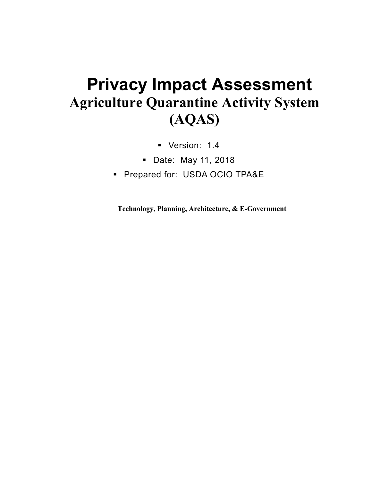## **Privacy Impact Assessment Agriculture Quarantine Activity System (AQAS)**

- Version: 1.4
- Date: May 11, 2018
- **Prepared for: USDA OCIO TPA&E**

**Technology, Planning, Architecture, & E-Government**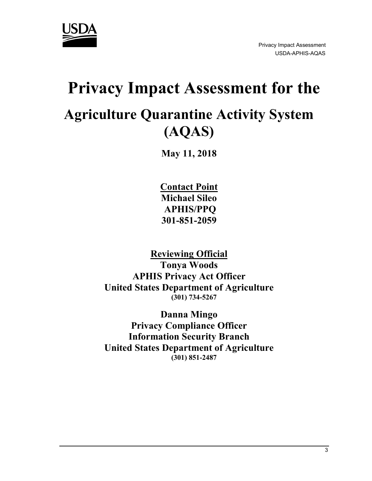

# **Privacy Impact Assessment for the Agriculture Quarantine Activity System (AQAS)**

**May 11, 2018**

**Contact Point Michael Sileo APHIS/PPQ 301-851-2059**

**Reviewing Official Tonya Woods APHIS Privacy Act Officer United States Department of Agriculture (301) 734-5267** 

**Danna Mingo Privacy Compliance Officer Information Security Branch United States Department of Agriculture (301) 851-2487**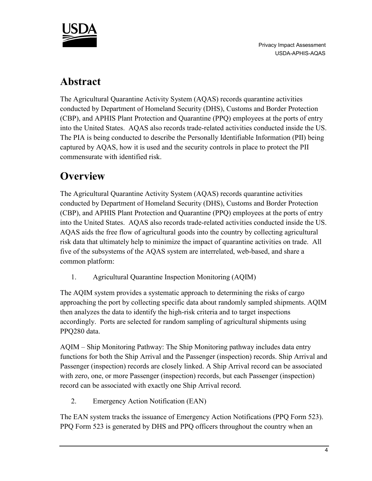

### **Abstract**

The Agricultural Quarantine Activity System (AQAS) records quarantine activities conducted by Department of Homeland Security (DHS), Customs and Border Protection (CBP), and APHIS Plant Protection and Quarantine (PPQ) employees at the ports of entry into the United States. AQAS also records trade-related activities conducted inside the US. The PIA is being conducted to describe the Personally Identifiable Information (PII) being captured by AQAS, how it is used and the security controls in place to protect the PII commensurate with identified risk.

## **Overview**

The Agricultural Quarantine Activity System (AQAS) records quarantine activities conducted by Department of Homeland Security (DHS), Customs and Border Protection (CBP), and APHIS Plant Protection and Quarantine (PPQ) employees at the ports of entry into the United States. AQAS also records trade-related activities conducted inside the US. AQAS aids the free flow of agricultural goods into the country by collecting agricultural risk data that ultimately help to minimize the impact of quarantine activities on trade. All five of the subsystems of the AQAS system are interrelated, web-based, and share a common platform:

1. Agricultural Quarantine Inspection Monitoring (AQIM)

The AQIM system provides a systematic approach to determining the risks of cargo approaching the port by collecting specific data about randomly sampled shipments. AQIM then analyzes the data to identify the high-risk criteria and to target inspections accordingly. Ports are selected for random sampling of agricultural shipments using PPQ280 data.

AQIM – Ship Monitoring Pathway: The Ship Monitoring pathway includes data entry functions for both the Ship Arrival and the Passenger (inspection) records. Ship Arrival and Passenger (inspection) records are closely linked. A Ship Arrival record can be associated with zero, one, or more Passenger (inspection) records, but each Passenger (inspection) record can be associated with exactly one Ship Arrival record.

2. Emergency Action Notification (EAN)

The EAN system tracks the issuance of Emergency Action Notifications (PPQ Form 523). PPQ Form 523 is generated by DHS and PPQ officers throughout the country when an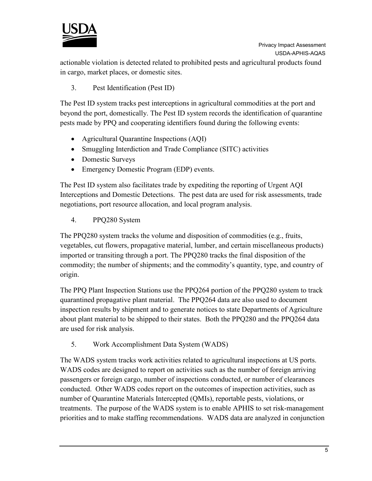

actionable violation is detected related to prohibited pests and agricultural products found in cargo, market places, or domestic sites.

3. Pest Identification (Pest ID)

The Pest ID system tracks pest interceptions in agricultural commodities at the port and beyond the port, domestically. The Pest ID system records the identification of quarantine pests made by PPQ and cooperating identifiers found during the following events:

- Agricultural Quarantine Inspections (AQI)
- Smuggling Interdiction and Trade Compliance (SITC) activities
- Domestic Surveys
- Emergency Domestic Program (EDP) events.

The Pest ID system also facilitates trade by expediting the reporting of Urgent AQI Interceptions and Domestic Detections. The pest data are used for risk assessments, trade negotiations, port resource allocation, and local program analysis.

4. PPQ280 System

The PPQ280 system tracks the volume and disposition of commodities (e.g., fruits, vegetables, cut flowers, propagative material, lumber, and certain miscellaneous products) imported or transiting through a port. The PPQ280 tracks the final disposition of the commodity; the number of shipments; and the commodity's quantity, type, and country of origin.

The PPQ Plant Inspection Stations use the PPQ264 portion of the PPQ280 system to track quarantined propagative plant material. The PPQ264 data are also used to document inspection results by shipment and to generate notices to state Departments of Agriculture about plant material to be shipped to their states. Both the PPQ280 and the PPQ264 data are used for risk analysis.

5. Work Accomplishment Data System (WADS)

The WADS system tracks work activities related to agricultural inspections at US ports. WADS codes are designed to report on activities such as the number of foreign arriving passengers or foreign cargo, number of inspections conducted, or number of clearances conducted. Other WADS codes report on the outcomes of inspection activities, such as number of Quarantine Materials Intercepted (QMIs), reportable pests, violations, or treatments. The purpose of the WADS system is to enable APHIS to set risk-management priorities and to make staffing recommendations. WADS data are analyzed in conjunction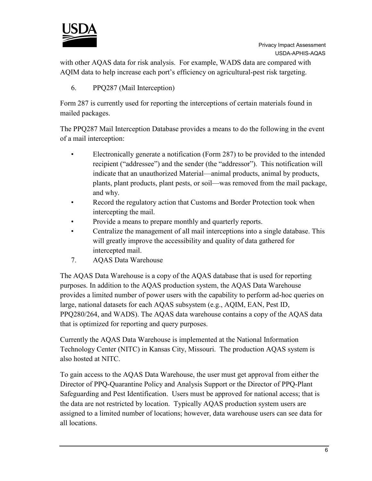

with other AQAS data for risk analysis. For example, WADS data are compared with AQIM data to help increase each port's efficiency on agricultural-pest risk targeting.

#### 6. PPQ287 (Mail Interception)

Form 287 is currently used for reporting the interceptions of certain materials found in mailed packages.

The PPQ287 Mail Interception Database provides a means to do the following in the event of a mail interception:

- Electronically generate a notification (Form 287) to be provided to the intended recipient ("addressee") and the sender (the "addressor"). This notification will indicate that an unauthorized Material—animal products, animal by products, plants, plant products, plant pests, or soil—was removed from the mail package, and why.
- Record the regulatory action that Customs and Border Protection took when intercepting the mail.
- Provide a means to prepare monthly and quarterly reports.
- Centralize the management of all mail interceptions into a single database. This will greatly improve the accessibility and quality of data gathered for intercepted mail.
- 7. AQAS Data Warehouse

The AQAS Data Warehouse is a copy of the AQAS database that is used for reporting purposes. In addition to the AQAS production system, the AQAS Data Warehouse provides a limited number of power users with the capability to perform ad-hoc queries on large, national datasets for each AQAS subsystem (e.g., AQIM, EAN, Pest ID, PPQ280/264, and WADS). The AQAS data warehouse contains a copy of the AQAS data that is optimized for reporting and query purposes.

Currently the AQAS Data Warehouse is implemented at the National Information Technology Center (NITC) in Kansas City, Missouri. The production AQAS system is also hosted at NITC.

To gain access to the AQAS Data Warehouse, the user must get approval from either the Director of PPQ-Quarantine Policy and Analysis Support or the Director of PPQ-Plant Safeguarding and Pest Identification. Users must be approved for national access; that is the data are not restricted by location. Typically AQAS production system users are assigned to a limited number of locations; however, data warehouse users can see data for all locations.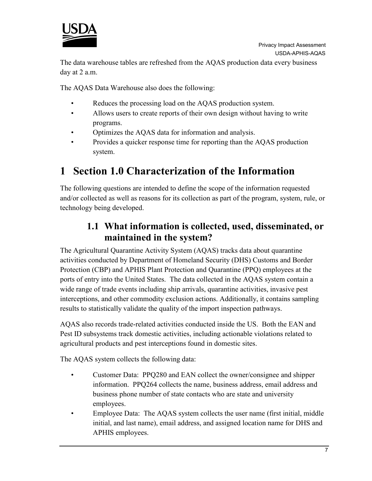

The data warehouse tables are refreshed from the AQAS production data every business day at 2 a.m.

The AQAS Data Warehouse also does the following:

- Reduces the processing load on the AQAS production system.
- Allows users to create reports of their own design without having to write programs.
- Optimizes the AQAS data for information and analysis.
- Provides a quicker response time for reporting than the AQAS production system.

### **1 Section 1.0 Characterization of the Information**

The following questions are intended to define the scope of the information requested and/or collected as well as reasons for its collection as part of the program, system, rule, or technology being developed.

#### **1.1 What information is collected, used, disseminated, or maintained in the system?**

The Agricultural Quarantine Activity System (AQAS) tracks data about quarantine activities conducted by Department of Homeland Security (DHS) Customs and Border Protection (CBP) and APHIS Plant Protection and Quarantine (PPQ) employees at the ports of entry into the United States. The data collected in the AQAS system contain a wide range of trade events including ship arrivals, quarantine activities, invasive pest interceptions, and other commodity exclusion actions. Additionally, it contains sampling results to statistically validate the quality of the import inspection pathways.

AQAS also records trade-related activities conducted inside the US. Both the EAN and Pest ID subsystems track domestic activities, including actionable violations related to agricultural products and pest interceptions found in domestic sites.

The AQAS system collects the following data:

- Customer Data: PPQ280 and EAN collect the owner/consignee and shipper information. PPQ264 collects the name, business address, email address and business phone number of state contacts who are state and university employees.
- Employee Data: The AQAS system collects the user name (first initial, middle initial, and last name), email address, and assigned location name for DHS and APHIS employees.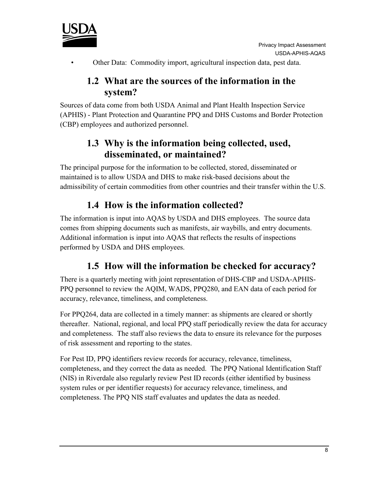• Other Data: Commodity import, agricultural inspection data, pest data.

#### **1.2 What are the sources of the information in the system?**

Sources of data come from both USDA Animal and Plant Health Inspection Service (APHIS) - Plant Protection and Quarantine PPQ and DHS Customs and Border Protection (CBP) employees and authorized personnel.

#### **1.3 Why is the information being collected, used, disseminated, or maintained?**

The principal purpose for the information to be collected, stored, disseminated or maintained is to allow USDA and DHS to make risk-based decisions about the admissibility of certain commodities from other countries and their transfer within the U.S.

#### **1.4 How is the information collected?**

The information is input into AQAS by USDA and DHS employees. The source data comes from shipping documents such as manifests, air waybills, and entry documents. Additional information is input into AQAS that reflects the results of inspections performed by USDA and DHS employees.

#### **1.5 How will the information be checked for accuracy?**

There is a quarterly meeting with joint representation of DHS-CBP and USDA-APHIS-PPQ personnel to review the AQIM, WADS, PPQ280, and EAN data of each period for accuracy, relevance, timeliness, and completeness.

For PPQ264, data are collected in a timely manner: as shipments are cleared or shortly thereafter. National, regional, and local PPQ staff periodically review the data for accuracy and completeness. The staff also reviews the data to ensure its relevance for the purposes of risk assessment and reporting to the states.

For Pest ID, PPQ identifiers review records for accuracy, relevance, timeliness, completeness, and they correct the data as needed. The PPQ National Identification Staff (NIS) in Riverdale also regularly review Pest ID records (either identified by business system rules or per identifier requests) for accuracy relevance, timeliness, and completeness. The PPQ NIS staff evaluates and updates the data as needed.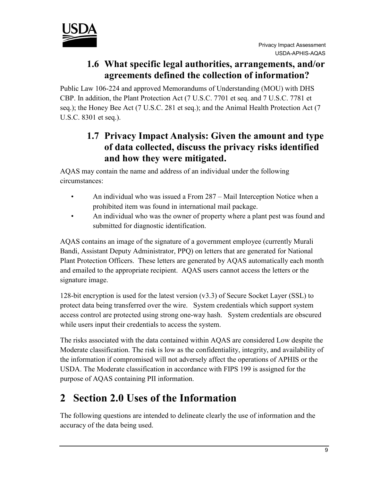

#### **1.6 What specific legal authorities, arrangements, and/or agreements defined the collection of information?**

Public Law 106-224 and approved Memorandums of Understanding (MOU) with DHS CBP. In addition, the Plant Protection Act (7 U.S.C. 7701 et seq. and 7 U.S.C. 7781 et seq.); the Honey Bee Act (7 U.S.C. 281 et seq.); and the Animal Health Protection Act (7 U.S.C. 8301 et seq.).

#### **1.7 Privacy Impact Analysis: Given the amount and type of data collected, discuss the privacy risks identified and how they were mitigated.**

AQAS may contain the name and address of an individual under the following circumstances:

- An individual who was issued a From 287 Mail Interception Notice when a prohibited item was found in international mail package.
- An individual who was the owner of property where a plant pest was found and submitted for diagnostic identification.

AQAS contains an image of the signature of a government employee (currently Murali Bandi, Assistant Deputy Administrator, PPQ) on letters that are generated for National Plant Protection Officers. These letters are generated by AQAS automatically each month and emailed to the appropriate recipient. AQAS users cannot access the letters or the signature image.

128-bit encryption is used for the latest version (v3.3) of Secure Socket Layer (SSL) to protect data being transferred over the wire. System credentials which support system access control are protected using strong one-way hash. System credentials are obscured while users input their credentials to access the system.

The risks associated with the data contained within AQAS are considered Low despite the Moderate classification. The risk is low as the confidentiality, integrity, and availability of the information if compromised will not adversely affect the operations of APHIS or the USDA. The Moderate classification in accordance with FIPS 199 is assigned for the purpose of AQAS containing PII information.

## **2 Section 2.0 Uses of the Information**

The following questions are intended to delineate clearly the use of information and the accuracy of the data being used.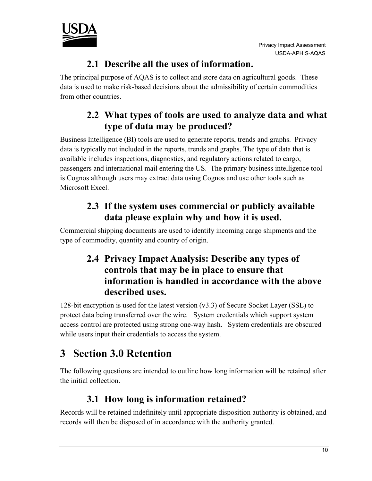



#### **2.1 Describe all the uses of information.**

The principal purpose of AQAS is to collect and store data on agricultural goods. These data is used to make risk-based decisions about the admissibility of certain commodities from other countries.

#### **2.2 What types of tools are used to analyze data and what type of data may be produced?**

Business Intelligence (BI) tools are used to generate reports, trends and graphs. Privacy data is typically not included in the reports, trends and graphs. The type of data that is available includes inspections, diagnostics, and regulatory actions related to cargo, passengers and international mail entering the US. The primary business intelligence tool is Cognos although users may extract data using Cognos and use other tools such as Microsoft Excel.

#### **2.3 If the system uses commercial or publicly available data please explain why and how it is used.**

Commercial shipping documents are used to identify incoming cargo shipments and the type of commodity, quantity and country of origin.

#### **2.4 Privacy Impact Analysis: Describe any types of controls that may be in place to ensure that information is handled in accordance with the above described uses.**

128-bit encryption is used for the latest version (v3.3) of Secure Socket Layer (SSL) to protect data being transferred over the wire. System credentials which support system access control are protected using strong one-way hash. System credentials are obscured while users input their credentials to access the system.

## **3 Section 3.0 Retention**

The following questions are intended to outline how long information will be retained after the initial collection.

#### **3.1 How long is information retained?**

Records will be retained indefinitely until appropriate disposition authority is obtained, and records will then be disposed of in accordance with the authority granted.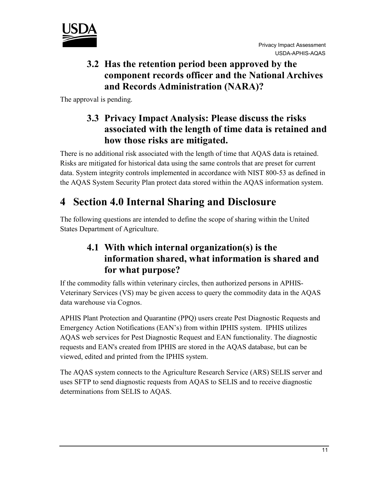

#### **3.2 Has the retention period been approved by the component records officer and the National Archives and Records Administration (NARA)?**

The approval is pending.

#### **3.3 Privacy Impact Analysis: Please discuss the risks associated with the length of time data is retained and how those risks are mitigated.**

There is no additional risk associated with the length of time that AQAS data is retained. Risks are mitigated for historical data using the same controls that are preset for current data. System integrity controls implemented in accordance with NIST 800-53 as defined in the AQAS System Security Plan protect data stored within the AQAS information system.

## **4 Section 4.0 Internal Sharing and Disclosure**

The following questions are intended to define the scope of sharing within the United States Department of Agriculture.

#### **4.1 With which internal organization(s) is the information shared, what information is shared and for what purpose?**

If the commodity falls within veterinary circles, then authorized persons in APHIS-Veterinary Services (VS) may be given access to query the commodity data in the AQAS data warehouse via Cognos.

APHIS Plant Protection and Quarantine (PPQ) users create Pest Diagnostic Requests and Emergency Action Notifications (EAN's) from within IPHIS system. IPHIS utilizes AQAS web services for Pest Diagnostic Request and EAN functionality. The diagnostic requests and EAN's created from IPHIS are stored in the AQAS database, but can be viewed, edited and printed from the IPHIS system.

The AQAS system connects to the Agriculture Research Service (ARS) SELIS server and uses SFTP to send diagnostic requests from AQAS to SELIS and to receive diagnostic determinations from SELIS to AQAS.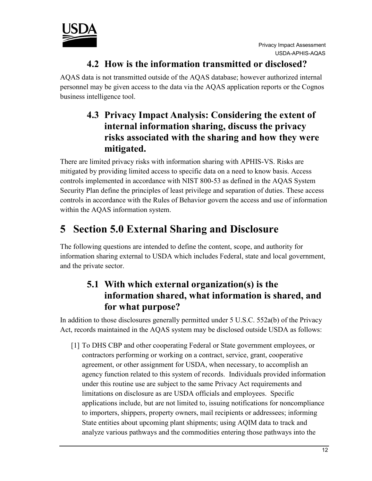

#### **4.2 How is the information transmitted or disclosed?**

AQAS data is not transmitted outside of the AQAS database; however authorized internal personnel may be given access to the data via the AQAS application reports or the Cognos business intelligence tool.

#### **4.3 Privacy Impact Analysis: Considering the extent of internal information sharing, discuss the privacy risks associated with the sharing and how they were mitigated.**

There are limited privacy risks with information sharing with APHIS-VS. Risks are mitigated by providing limited access to specific data on a need to know basis. Access controls implemented in accordance with NIST 800-53 as defined in the AQAS System Security Plan define the principles of least privilege and separation of duties. These access controls in accordance with the Rules of Behavior govern the access and use of information within the AQAS information system.

## **5 Section 5.0 External Sharing and Disclosure**

The following questions are intended to define the content, scope, and authority for information sharing external to USDA which includes Federal, state and local government, and the private sector.

#### **5.1 With which external organization(s) is the information shared, what information is shared, and for what purpose?**

In addition to those disclosures generally permitted under 5 U.S.C. 552a(b) of the Privacy Act, records maintained in the AQAS system may be disclosed outside USDA as follows:

[1] To DHS CBP and other cooperating Federal or State government employees, or contractors performing or working on a contract, service, grant, cooperative agreement, or other assignment for USDA, when necessary, to accomplish an agency function related to this system of records. Individuals provided information under this routine use are subject to the same Privacy Act requirements and limitations on disclosure as are USDA officials and employees. Specific applications include, but are not limited to, issuing notifications for noncompliance to importers, shippers, property owners, mail recipients or addressees; informing State entities about upcoming plant shipments; using AQIM data to track and analyze various pathways and the commodities entering those pathways into the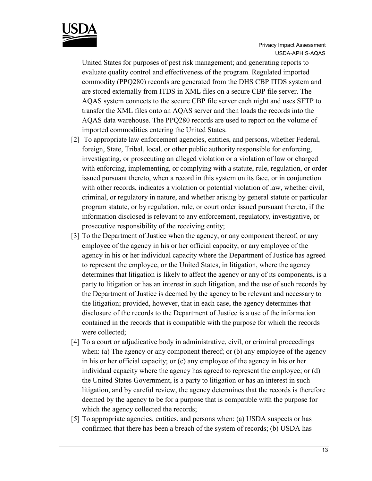

United States for purposes of pest risk management; and generating reports to evaluate quality control and effectiveness of the program. Regulated imported commodity (PPQ280) records are generated from the DHS CBP ITDS system and are stored externally from ITDS in XML files on a secure CBP file server. The AQAS system connects to the secure CBP file server each night and uses SFTP to transfer the XML files onto an AQAS server and then loads the records into the AQAS data warehouse. The PPQ280 records are used to report on the volume of imported commodities entering the United States.

- [2] To appropriate law enforcement agencies, entities, and persons, whether Federal, foreign, State, Tribal, local, or other public authority responsible for enforcing, investigating, or prosecuting an alleged violation or a violation of law or charged with enforcing, implementing, or complying with a statute, rule, regulation, or order issued pursuant thereto, when a record in this system on its face, or in conjunction with other records, indicates a violation or potential violation of law, whether civil, criminal, or regulatory in nature, and whether arising by general statute or particular program statute, or by regulation, rule, or court order issued pursuant thereto, if the information disclosed is relevant to any enforcement, regulatory, investigative, or prosecutive responsibility of the receiving entity;
- [3] To the Department of Justice when the agency, or any component thereof, or any employee of the agency in his or her official capacity, or any employee of the agency in his or her individual capacity where the Department of Justice has agreed to represent the employee, or the United States, in litigation, where the agency determines that litigation is likely to affect the agency or any of its components, is a party to litigation or has an interest in such litigation, and the use of such records by the Department of Justice is deemed by the agency to be relevant and necessary to the litigation; provided, however, that in each case, the agency determines that disclosure of the records to the Department of Justice is a use of the information contained in the records that is compatible with the purpose for which the records were collected;
- [4] To a court or adjudicative body in administrative, civil, or criminal proceedings when: (a) The agency or any component thereof; or (b) any employee of the agency in his or her official capacity; or (c) any employee of the agency in his or her individual capacity where the agency has agreed to represent the employee; or (d) the United States Government, is a party to litigation or has an interest in such litigation, and by careful review, the agency determines that the records is therefore deemed by the agency to be for a purpose that is compatible with the purpose for which the agency collected the records;
- [5] To appropriate agencies, entities, and persons when: (a) USDA suspects or has confirmed that there has been a breach of the system of records; (b) USDA has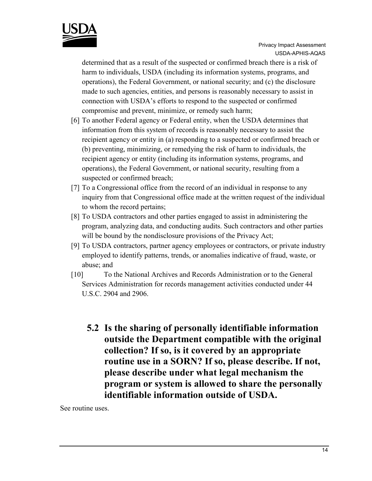

determined that as a result of the suspected or confirmed breach there is a risk of harm to individuals, USDA (including its information systems, programs, and operations), the Federal Government, or national security; and (c) the disclosure made to such agencies, entities, and persons is reasonably necessary to assist in connection with USDA's efforts to respond to the suspected or confirmed compromise and prevent, minimize, or remedy such harm;

- [6] To another Federal agency or Federal entity, when the USDA determines that information from this system of records is reasonably necessary to assist the recipient agency or entity in (a) responding to a suspected or confirmed breach or (b) preventing, minimizing, or remedying the risk of harm to individuals, the recipient agency or entity (including its information systems, programs, and operations), the Federal Government, or national security, resulting from a suspected or confirmed breach;
- [7] To a Congressional office from the record of an individual in response to any inquiry from that Congressional office made at the written request of the individual to whom the record pertains;
- [8] To USDA contractors and other parties engaged to assist in administering the program, analyzing data, and conducting audits. Such contractors and other parties will be bound by the nondisclosure provisions of the Privacy Act;
- [9] To USDA contractors, partner agency employees or contractors, or private industry employed to identify patterns, trends, or anomalies indicative of fraud, waste, or abuse; and
- [10] To the National Archives and Records Administration or to the General Services Administration for records management activities conducted under 44 U.S.C. 2904 and 2906.
	- **5.2 Is the sharing of personally identifiable information outside the Department compatible with the original collection? If so, is it covered by an appropriate routine use in a SORN? If so, please describe. If not, please describe under what legal mechanism the program or system is allowed to share the personally identifiable information outside of USDA.**

See routine uses.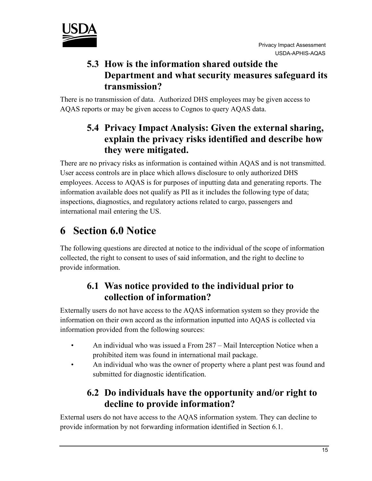

#### **5.3 How is the information shared outside the Department and what security measures safeguard its transmission?**

There is no transmission of data. Authorized DHS employees may be given access to AQAS reports or may be given access to Cognos to query AQAS data.

#### **5.4 Privacy Impact Analysis: Given the external sharing, explain the privacy risks identified and describe how they were mitigated.**

There are no privacy risks as information is contained within AQAS and is not transmitted. User access controls are in place which allows disclosure to only authorized DHS employees. Access to AQAS is for purposes of inputting data and generating reports. The information available does not qualify as PII as it includes the following type of data; inspections, diagnostics, and regulatory actions related to cargo, passengers and international mail entering the US.

## **6 Section 6.0 Notice**

The following questions are directed at notice to the individual of the scope of information collected, the right to consent to uses of said information, and the right to decline to provide information.

#### **6.1 Was notice provided to the individual prior to collection of information?**

Externally users do not have access to the AQAS information system so they provide the information on their own accord as the information inputted into AQAS is collected via information provided from the following sources:

- An individual who was issued a From 287 Mail Interception Notice when a prohibited item was found in international mail package.
- An individual who was the owner of property where a plant pest was found and submitted for diagnostic identification.

### **6.2 Do individuals have the opportunity and/or right to decline to provide information?**

External users do not have access to the AQAS information system. They can decline to provide information by not forwarding information identified in Section 6.1.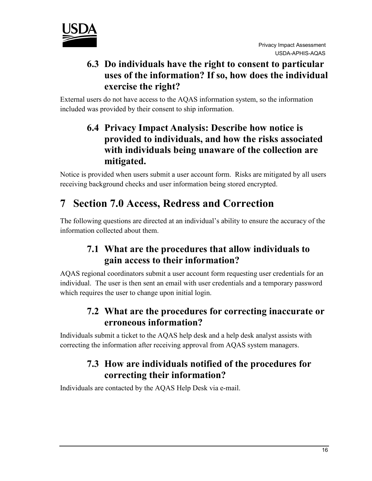

#### **6.3 Do individuals have the right to consent to particular uses of the information? If so, how does the individual exercise the right?**

External users do not have access to the AQAS information system, so the information included was provided by their consent to ship information.

#### **6.4 Privacy Impact Analysis: Describe how notice is provided to individuals, and how the risks associated with individuals being unaware of the collection are mitigated.**

Notice is provided when users submit a user account form. Risks are mitigated by all users receiving background checks and user information being stored encrypted.

## **7 Section 7.0 Access, Redress and Correction**

The following questions are directed at an individual's ability to ensure the accuracy of the information collected about them.

#### **7.1 What are the procedures that allow individuals to gain access to their information?**

AQAS regional coordinators submit a user account form requesting user credentials for an individual. The user is then sent an email with user credentials and a temporary password which requires the user to change upon initial login.

#### **7.2 What are the procedures for correcting inaccurate or erroneous information?**

Individuals submit a ticket to the AQAS help desk and a help desk analyst assists with correcting the information after receiving approval from AQAS system managers.

#### **7.3 How are individuals notified of the procedures for correcting their information?**

Individuals are contacted by the AQAS Help Desk via e-mail.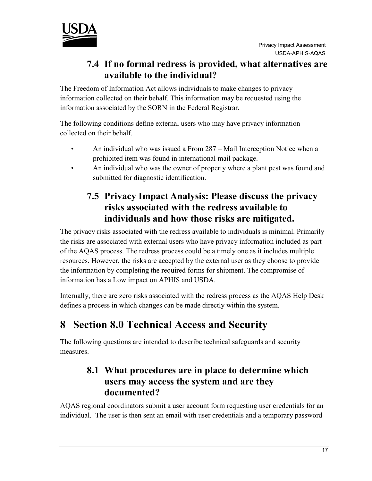

#### **7.4 If no formal redress is provided, what alternatives are available to the individual?**

The Freedom of Information Act allows individuals to make changes to privacy information collected on their behalf. This information may be requested using the information associated by the SORN in the Federal Registrar.

The following conditions define external users who may have privacy information collected on their behalf.

- An individual who was issued a From 287 Mail Interception Notice when a prohibited item was found in international mail package.
- An individual who was the owner of property where a plant pest was found and submitted for diagnostic identification.

#### **7.5 Privacy Impact Analysis: Please discuss the privacy risks associated with the redress available to individuals and how those risks are mitigated.**

The privacy risks associated with the redress available to individuals is minimal. Primarily the risks are associated with external users who have privacy information included as part of the AQAS process. The redress process could be a timely one as it includes multiple resources. However, the risks are accepted by the external user as they choose to provide the information by completing the required forms for shipment. The compromise of information has a Low impact on APHIS and USDA.

Internally, there are zero risks associated with the redress process as the AQAS Help Desk defines a process in which changes can be made directly within the system.

## **8 Section 8.0 Technical Access and Security**

The following questions are intended to describe technical safeguards and security measures.

#### **8.1 What procedures are in place to determine which users may access the system and are they documented?**

AQAS regional coordinators submit a user account form requesting user credentials for an individual. The user is then sent an email with user credentials and a temporary password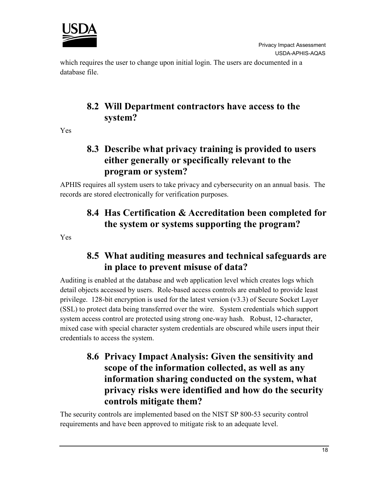

which requires the user to change upon initial login. The users are documented in a database file.

#### **8.2 Will Department contractors have access to the system?**

Yes

#### **8.3 Describe what privacy training is provided to users either generally or specifically relevant to the program or system?**

APHIS requires all system users to take privacy and cybersecurity on an annual basis. The records are stored electronically for verification purposes.

#### **8.4 Has Certification & Accreditation been completed for the system or systems supporting the program?**

Yes

#### **8.5 What auditing measures and technical safeguards are in place to prevent misuse of data?**

Auditing is enabled at the database and web application level which creates logs which detail objects accessed by users. Role-based access controls are enabled to provide least privilege. 128-bit encryption is used for the latest version (v3.3) of Secure Socket Layer (SSL) to protect data being transferred over the wire. System credentials which support system access control are protected using strong one-way hash. Robust, 12-character, mixed case with special character system credentials are obscured while users input their credentials to access the system.

#### **8.6 Privacy Impact Analysis: Given the sensitivity and scope of the information collected, as well as any information sharing conducted on the system, what privacy risks were identified and how do the security controls mitigate them?**

The security controls are implemented based on the NIST SP 800-53 security control requirements and have been approved to mitigate risk to an adequate level.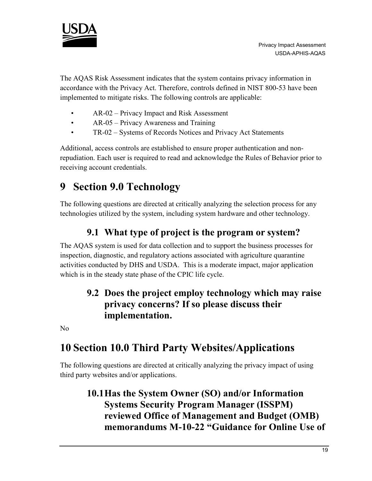

The AQAS Risk Assessment indicates that the system contains privacy information in accordance with the Privacy Act. Therefore, controls defined in NIST 800-53 have been implemented to mitigate risks. The following controls are applicable:

- AR-02 Privacy Impact and Risk Assessment
- AR-05 Privacy Awareness and Training
- TR-02 Systems of Records Notices and Privacy Act Statements

Additional, access controls are established to ensure proper authentication and nonrepudiation. Each user is required to read and acknowledge the Rules of Behavior prior to receiving account credentials.

## **9 Section 9.0 Technology**

The following questions are directed at critically analyzing the selection process for any technologies utilized by the system, including system hardware and other technology.

#### **9.1 What type of project is the program or system?**

The AQAS system is used for data collection and to support the business processes for inspection, diagnostic, and regulatory actions associated with agriculture quarantine activities conducted by DHS and USDA. This is a moderate impact, major application which is in the steady state phase of the CPIC life cycle.

#### **9.2 Does the project employ technology which may raise privacy concerns? If so please discuss their implementation.**

No

## **10 Section 10.0 Third Party Websites/Applications**

The following questions are directed at critically analyzing the privacy impact of using third party websites and/or applications.

#### **10.1Has the System Owner (SO) and/or Information Systems Security Program Manager (ISSPM) reviewed Office of Management and Budget (OMB) memorandums M-10-22 "Guidance for Online Use of**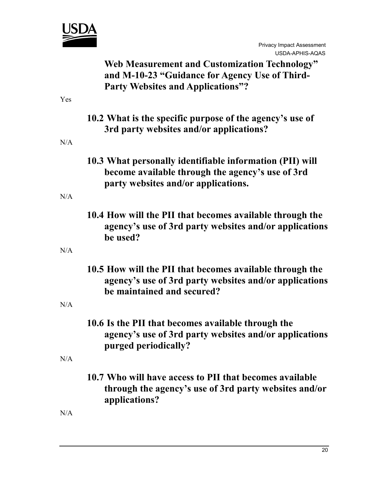

|     | <b>Web Measurement and Customization Technology"</b><br>and M-10-23 "Guidance for Agency Use of Third-<br><b>Party Websites and Applications"?</b>  |
|-----|-----------------------------------------------------------------------------------------------------------------------------------------------------|
| Yes |                                                                                                                                                     |
|     | 10.2 What is the specific purpose of the agency's use of<br>3rd party websites and/or applications?                                                 |
| N/A |                                                                                                                                                     |
|     | 10.3 What personally identifiable information (PII) will<br>become available through the agency's use of 3rd<br>party websites and/or applications. |
| N/A |                                                                                                                                                     |
|     | 10.4 How will the PII that becomes available through the<br>agency's use of 3rd party websites and/or applications<br>be used?                      |
| N/A |                                                                                                                                                     |
|     | 10.5 How will the PII that becomes available through the<br>agency's use of 3rd party websites and/or applications<br>be maintained and secured?    |
| N/A |                                                                                                                                                     |
|     | 10.6 Is the PII that becomes available through the<br>agency's use of 3rd party websites and/or applications<br>purged periodically?                |
| N/A |                                                                                                                                                     |
|     | 10.7 Who will have access to PII that becomes available<br>through the agency's use of 3rd party websites and/or<br>applications?                   |

N/A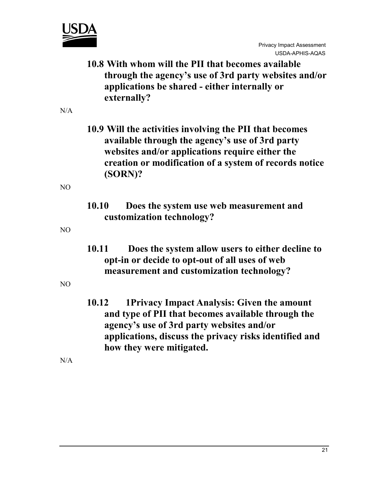

**10.8 With whom will the PII that becomes available through the agency's use of 3rd party websites and/or applications be shared - either internally or externally?** 

 $N/A$ 

**10.9 Will the activities involving the PII that becomes available through the agency's use of 3rd party websites and/or applications require either the creation or modification of a system of records notice (SORN)?** 

 $N<sub>O</sub>$ 

**10.10 Does the system use web measurement and customization technology?**

NO

**10.11 Does the system allow users to either decline to opt-in or decide to opt-out of all uses of web measurement and customization technology?**

NO

**10.12 1Privacy Impact Analysis: Given the amount and type of PII that becomes available through the agency's use of 3rd party websites and/or applications, discuss the privacy risks identified and how they were mitigated.** 

N/A